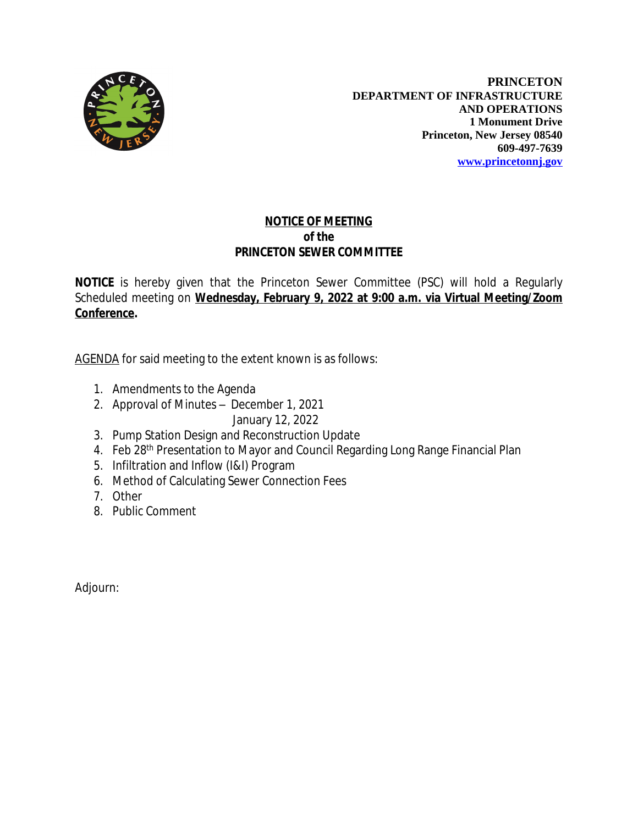

**PRINCETON DEPARTMENT OF INFRASTRUCTURE AND OPERATIONS 1 Monument Drive Princeton, New Jersey 08540 609-497-7639 [www.princetonnj.gov](http://www.princetonnj.gov)**

## **NOTICE OF MEETING** *of the* **PRINCETON SEWER COMMITTEE**

**NOTICE** is hereby given that the Princeton Sewer Committee (PSC) will hold a Regularly Scheduled meeting on **Wednesday, February 9, 2022 at 9:00 a.m. via Virtual Meeting/Zoom Conference.**

AGENDA for said meeting to the extent known is as follows:

- 1. Amendments to the Agenda
- 2. Approval of Minutes December 1, 2021 January 12, 2022
- 3. Pump Station Design and Reconstruction Update
- 4. Feb 28<sup>th</sup> Presentation to Mayor and Council Regarding Long Range Financial Plan
- 5. Infiltration and Inflow (I&I) Program
- 6. Method of Calculating Sewer Connection Fees
- 7. Other
- 8. Public Comment

Adjourn: